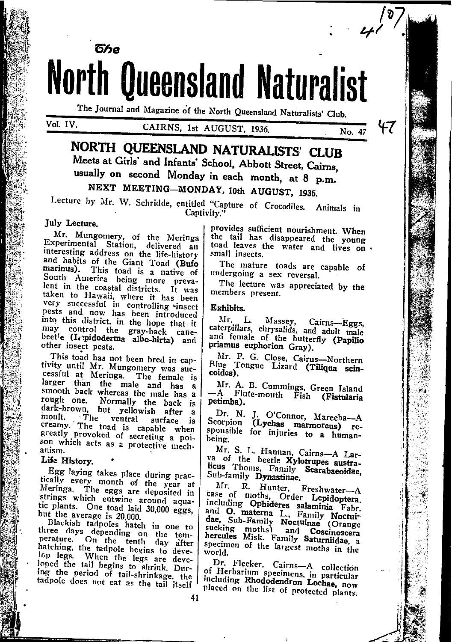**North Queensland Naturalist** The Journal and Magazine of the North Queensland Naturalists' Club.

**The** 

### CAIRNS. 1st AUGUST, 1936.

No. 47

FT.

NORTH QUEENSLAND NATURALISTS' CLUB Meets at Girls' and Infants' School, Abbott Street, Cairns, usually on second Monday in each month, at 8 p.m. NEXT MEETING-MONDAY, 10th AUGUST, 1936.

Lecture by Mr. W. Schridde, entitled "Capture of Crocodiles. Animals in Captivity.

### July Lecture.

Mr. Mungomery, of the Meringa Experimental Station, delivered an interesting address on the life-history and habits of the Giant Toad (Bufo marinus). This toad is a native of South America being more prevalent in the coastal districts. It was taken to Hawaii, where it has been very successful in controlling vinsect pests and now has been introduced into this district, in the hope that it may control the gray-back cane-<br>beet'e (I, pidoderma albo-hirta) and other insect pests.

This toad has not been bred in captivity until Mr. Mungomery was suclarger than the male and has a smooth back whereas the male has a rough one. Normally the back is dark-brown, but yellowish after a moult. The ventral surface is<br>creamy. The toad is capable when greatly provoked of secreting a poison which acts as a protective mechanism.

### Life History.

Egg laying takes place during practically every month of the year at Meringa. The eggs are deposited in strings which entwine around aquatic plants. One toad laid 30,000 eggs, but the average is 20,000.

Blackish tadpoles hatch in one to three days depending on the temperature. On the tenth day after hatching, the tadpole begins to develop legs. When the legs are developed the tail begins to shrink. During the period of tail-shrinkage, the tadpole does not eat as the tail itself

provides sufficient nourishment. When the tail has disappeared the young toad leaves the water and lives on . small insects.

The mature toads are capable of undergoing a sex reversal.

The lecture was appreciated by the members present.

### Exhibits.

Mr. L. Massey, Cairns-Eggs,<br>caterpillars, chrysalids, and adult male and female of the butterfly (Papilio priamus euphorion Gray).

Mr. P. G. Close, Cairns-Northern Riue Tongue Lizard (Tiliqua scincoides).

Mr. A. B. Cummings, Green Island -A Flute-mouth Fish (Fistularia petimba).

Dr. N. J. O'Connor, Mareeba--A Scorpion (Lychas marmoreus) responsible for injuries to a humanbeing.

Mr. S. L. Hannan, Cairns-A Larva of the beetle Xylotrupes austra-Sub-family Dynastinae.

Mr. R. Hunter, Freshwater-A<br>case of moths, Order Lepidoptera, including Ophideres salaminia Fabr. and O. materna L., Family Noctuidae, Sub-Family Noctumne (Orange sucking moths) and Coscinoscera<br>bercules Misk. Family Saturniidae, a specimen of the largest moths in the world.

Dr. Flecker, Cairns-A collection of Herbarium specimens, in particular including Rhododendron Lochae, now placed on the list of protected plants.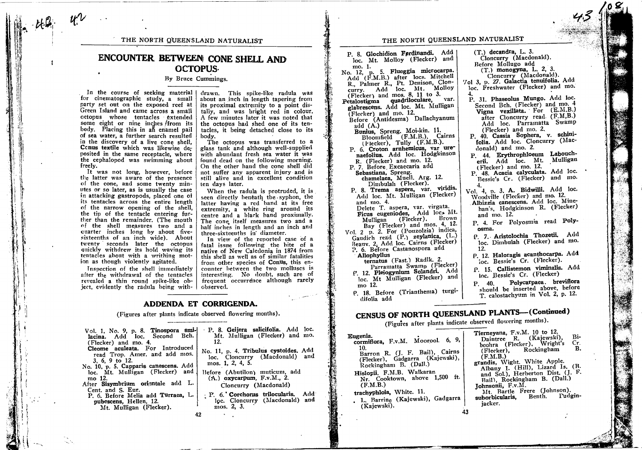THE NORTH QUEENSLAND NATURALIST

## ENCOUNTER BETWEEN CONE SHELL AND **OCTOPUS-**

### By Bruce Cummings.

In the course of seeking material | for cinematographic study, a small party set out on the exposed reef at Green Island and came across a small octopus whose tentacles extended some eight or nine inches from its body. Placing this in an enamel pail of sea water, a further search resulted in the discovery of a live cone shell, Conus textile which was likewise deposited in the same receptacle, where the cephalopod was swimming about freely.

It was not long, however, before the latter was aware of the presence of the cone, and some twenty minutes or so later, as is usually the case in attacking gastropods, placed one of its tentacles across the entire length of the narrow opening of the shell, the tip of the tentacle entering further than the remainder. (The mouth of the shell measures two and a quarter inches long by about fivesixteenths of an inch wide). About twenty seconds later the octopus quickly withdrew its hold waving its tentacles about with a writhing motion as though violently agitated.

Inspection of the shell immediately after the withdrawal of the tentacles revealed a thin round spike-like object, evidently the radula being with-

drawn. This spike-like radula was about an inch in length tapering from its proximal extremity to a point distally, and was bright red in colour. A few minutes later it was noted that the octopus had shed one of its tentacles, it being detached close to its body.

The octopus was transferred to a glass tank and although well-supplied with abundant fresh sea water it was found dead on the following morning. On the other hand the cone shell did not suffer any apparent injury and is still alive and in excellent condition ten days later.

When the radula is protruded, it is seen directly beneath the syphon, the latter having a red band at its free extremity, a white ring around its centre and a black band proximally. The cone itself measures two and a half inches in length and an inch and three-sixteenths in diameter.

In view of the reported case of a fatal issue following the bite of a native of New Caledonia in 1874 from this shell as well as of similar fatalities from other species of Conus, this encounter between the two molluscs is interesting. No doubt, such are of frequent occurrence although rarely observed.

loc.

mo.

Add and

Add and

#### ADDENDA ET CORRIGENDA.

(Figures after plants indicate observed flowering months).

| P. 8. Geijera salicifolia. Add<br>Vol. 1, No. 9, p. 8. Tinospora smi-<br>Mt. Mulligan (Flecker) and<br>12. |
|------------------------------------------------------------------------------------------------------------|
| No. 11, p. 4. Tribulus cystoides.<br>loc. Cloncurry (Macdonald)<br>mos. 1, 2, 4, 5.                        |
| Before (Abutilon) muticum, ado<br>$(A.)$ oxycarpum, $F.v.M., 2.$<br>Cloncurry (Macdonald)                  |
| P. 6. Corchorus trilocularis.<br>loc. Cloncurry (Macdonald)<br>mos. 2, 3.                                  |
| 42                                                                                                         |
|                                                                                                            |

THE NORTH QUEENSLAND NATURALIST

P. 8. Glochidion Ferdinandi. Add loc. Mt. Molloy (Flecker) and mo. 1. No. 12, p. 5. Flueggia microcarpa. Add (F.M.B.) after locs. Mitchell R., Palmer R., Pt. Denison, Clon-(Flecker) and mos.  $8$ , 11 to 3. Petalostigma quadriloculare, var. glabrescens. Add loc. Mt. Mulligan  $(Flecker)$  and mo. 12. Before (Antidesma) Dallachyanum add  $(A.)$ Bunius, Spreng. Moi-kin. 11. Bloomfield (F.M.B.), Cairns (Flecker), Tully (F.M.B.). P. 6. Croton arnhemicus, var urenaefolius. Add loc. Hodgkinson R. (Flecker) and mo. 12. P. 7. Before Excaecaria add Sebastiana, Spreng.<br>chamelaea, Muell. Arg. 12. Dimbulah (Flecker). P. 8. Trema aspera, var. viridis. Add loc. Mt. Mulligan (Flecker) and mo. 4. Delete T. aspera, var. virgata. Ficus eugeniodes, Add loc. Mt. Mulligan (Flecker), Brown Bay (Flecker) and mos. 4, 12. Vol. 2 p. 2. For (Pouzolzia) indica, (L.) Beauv. 2. Add loc. Cairns (Flecker)<br>P. 6. Before Castanospora add **Allophyllus** ternatus (Fast.) Radlk. 2. Parramatta Swamp (Flecker) P. 12. Pleiogynium Solandri. Add loc. Mt Mulligan (Flecker) and mo 12. P. 18. Before (Trianthema) turgidifolia add

 $(T.)$  decandra, L. 3. Cloncurry (Macdonald). Before Mollugo add (T.) monogyna, L. 2, 3. Cloncurry (Macdonald).<br>Vol 3, p. 27. Galactia tenuifolia. Add loc. Freshwater (Flecker) and mo. P. 31. Phaseolus Mungo. Add loc. Second Bch. (Flecker) and mo. 4 Vigna vexillata. For (E.M.B.) after Cloncurry read. (F.M,B.) Add loc. Parramatta Swamp (Flecker) and mo. 2. P. 40. Cassia Sophera, v. schinifolia. Add loc. Cloncurry (Macdonald) and mo. 2. P. 44. Erythrophloeum Laboucherii. Add loc. Mt. Mulligan (Flecker) and mo. 12. P. 48. Acacia calyculata. Add loc. Bessie's Cr. (Flecker) and mo. Vol. 4, p. 3, A. Bidwilli. Add loc. Woodville (Flecker) and mo. 12. Albizzia canescens. Add loc. Minehan's, Hodgkinson R. (Flecker) and mo. 12. P. 4. For Polyosmia read Polyosma. P. 7. Aristolochia Thozetii. Add loc. Dimbulah (Flecker) and mo. 12. P. 12. Haloragis acanthocarpa. Add ioc. Bessie's Cr. (Flecker). P. 15. Callistemon viminalis. Add loc. Bessie's Cr. (Flecker) Polycarpaea. breviflora P. 40. should be inserted above, before T. calostachyum in Vol. 2, p. 12.

# CENSUS OF NORTH QUEENSLAND PLANTS--(Continued)

(Figures after plants indicate observed flowering months).

| Eugenia.<br>cormiflora, F.v.M. Moorool. 6, 9,<br>10.<br>Barron R. (J. F. Bail), Cairns<br>(Flecker), Gadgarra (Kajewski),<br>Rockingham B. (Dall.)<br>Hislopii, F.M.B. Walkaran<br>Nr. Cooktown, above 1,500 ft.<br>(F.M.B.)<br>trachyphloia, White. 11.<br>. L. Barrine (Kajewski), Gadgarra<br>(Kajewski).<br>43 | Tierneyana, F.v.M. 10 to 12.<br>Daintree R. (Kajewski<br>boohra (Flecker), Wrigh<br>(Flecker), Rockingham<br>(F.M.B.)<br>grandis, Wight. White App<br>Albany I. (Hill), Lizard<br>and Sol.), Herberton Dist<br>Bail), Rockingham B. (L<br>Johnsonii, F.v.M.<br>Mt. Bartle Frere (Johns<br>Benth.<br>suborbicularis.<br>iacker. |
|--------------------------------------------------------------------------------------------------------------------------------------------------------------------------------------------------------------------------------------------------------------------------------------------------------------------|--------------------------------------------------------------------------------------------------------------------------------------------------------------------------------------------------------------------------------------------------------------------------------------------------------------------------------|
|                                                                                                                                                                                                                                                                                                                    |                                                                                                                                                                                                                                                                                                                                |

| Daintree R. (Kajewski),          | Bi |
|----------------------------------|----|
| boohra (Flecker), Wright's       | Сı |
| (Flecker), Rockingham            | Е  |
| (F.M.B.)                         |    |
| andis, Wight. White Apple.       |    |
| Albany I. (Hill), Lizard Is. (B  |    |
| and Sol.), Herberton Dist. (J. F |    |
| Bail), Rockingham B. (Dall.)     |    |
| phnsonii,F.v.M.                  |    |
| Mt. Bartle Frere (Johnson).      |    |
| aborbicularis, Benth. Fudgin     |    |
| jacker.                          |    |
|                                  |    |
|                                  |    |